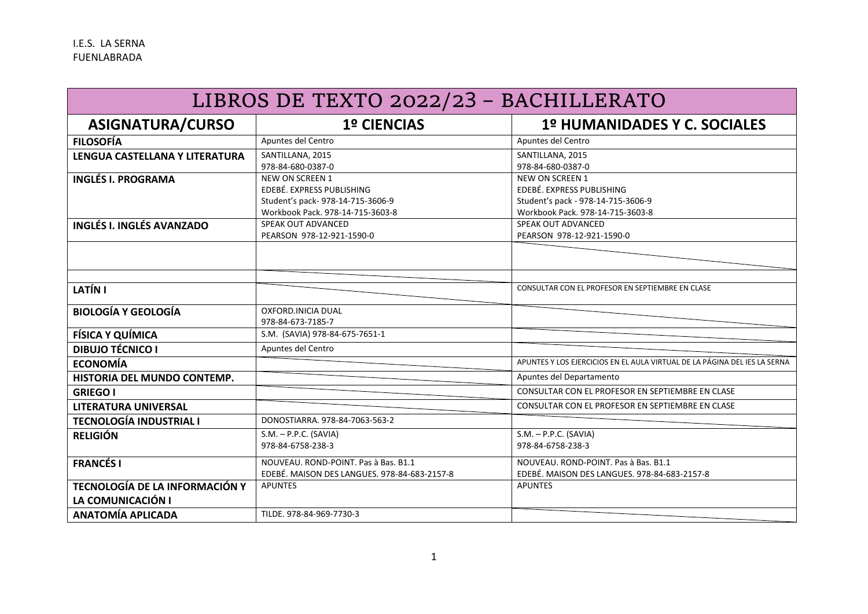| LIBROS DE TEXTO 2022/23 - BACHILLERATO |                                              |                                                                           |  |
|----------------------------------------|----------------------------------------------|---------------------------------------------------------------------------|--|
| <b>ASIGNATURA/CURSO</b>                | <b>1º CIENCIAS</b>                           | 1º HUMANIDADES Y C. SOCIALES                                              |  |
| <b>FILOSOFÍA</b>                       | Apuntes del Centro                           | Apuntes del Centro                                                        |  |
| LENGUA CASTELLANA Y LITERATURA         | SANTILLANA, 2015                             | SANTILLANA, 2015                                                          |  |
|                                        | 978-84-680-0387-0                            | 978-84-680-0387-0                                                         |  |
| <b>INGLÉS I. PROGRAMA</b>              | <b>NEW ON SCREEN 1</b>                       | <b>NEW ON SCREEN 1</b>                                                    |  |
|                                        | EDEBÉ. EXPRESS PUBLISHING                    | EDEBÉ. EXPRESS PUBLISHING                                                 |  |
|                                        | Student's pack-978-14-715-3606-9             | Student's pack - 978-14-715-3606-9                                        |  |
|                                        | Workbook Pack, 978-14-715-3603-8             | Workbook Pack. 978-14-715-3603-8                                          |  |
| <b>INGLÉS I. INGLÉS AVANZADO</b>       | SPEAK OUT ADVANCED                           | SPEAK OUT ADVANCED                                                        |  |
|                                        | PEARSON 978-12-921-1590-0                    | PEARSON 978-12-921-1590-0                                                 |  |
|                                        |                                              |                                                                           |  |
|                                        |                                              |                                                                           |  |
| LATÍN I                                |                                              | CONSULTAR CON EL PROFESOR EN SEPTIEMBRE EN CLASE                          |  |
| <b>BIOLOGÍA Y GEOLOGÍA</b>             | OXFORD. INICIA DUAL                          |                                                                           |  |
|                                        | 978-84-673-7185-7                            |                                                                           |  |
| <b>FÍSICA Y QUÍMICA</b>                | S.M. (SAVIA) 978-84-675-7651-1               |                                                                           |  |
| <b>DIBUJO TÉCNICO I</b>                | Apuntes del Centro                           |                                                                           |  |
| <b>ECONOMÍA</b>                        |                                              | APUNTES Y LOS EJERCICIOS EN EL AULA VIRTUAL DE LA PÁGINA DEL IES LA SERNA |  |
| HISTORIA DEL MUNDO CONTEMP.            |                                              | Apuntes del Departamento                                                  |  |
| <b>GRIEGO I</b>                        |                                              | CONSULTAR CON EL PROFESOR EN SEPTIEMBRE EN CLASE                          |  |
| <b>LITERATURA UNIVERSAL</b>            |                                              | CONSULTAR CON EL PROFESOR EN SEPTIEMBRE EN CLASE                          |  |
| <b>TECNOLOGÍA INDUSTRIAL I</b>         | DONOSTIARRA, 978-84-7063-563-2               |                                                                           |  |
| <b>RELIGIÓN</b>                        | $S.M. - P.P.C. (SAVIA)$                      | $S.M. - P.P.C. (SAVIA)$                                                   |  |
|                                        | 978-84-6758-238-3                            | 978-84-6758-238-3                                                         |  |
| <b>FRANCÉS I</b>                       | NOUVEAU. ROND-POINT. Pas à Bas. B1.1         | NOUVEAU. ROND-POINT. Pas à Bas. B1.1                                      |  |
|                                        | EDEBÉ. MAISON DES LANGUES. 978-84-683-2157-8 | EDEBÉ. MAISON DES LANGUES. 978-84-683-2157-8                              |  |
| TECNOLOGÍA DE LA INFORMACIÓN Y         | <b>APUNTES</b>                               | <b>APUNTES</b>                                                            |  |
| LA COMUNICACIÓN I                      |                                              |                                                                           |  |
| <b>ANATOMÍA APLICADA</b>               | TILDE. 978-84-969-7730-3                     |                                                                           |  |